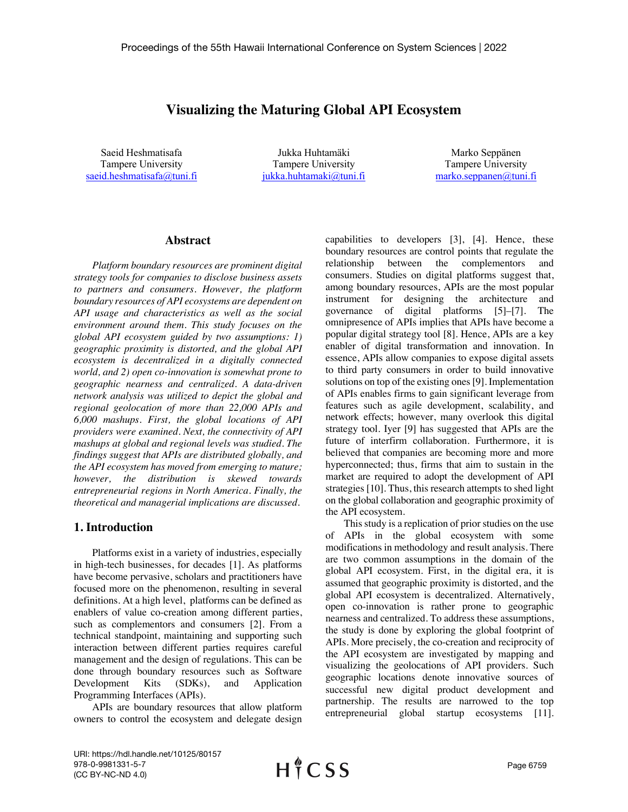# **Visualizing the Maturing Global API Ecosystem**

Saeid Heshmatisafa Tampere University saeid.heshmatisafa@tuni.fi

Jukka Huhtamäki Tampere University jukka.huhtamaki@tuni.fi

Marko Seppänen Tampere University marko.seppanen@tuni.fi

#### **Abstract**

*Platform boundary resources are prominent digital strategy tools for companies to disclose business assets to partners and consumers. However, the platform boundary resources of API ecosystems are dependent on API usage and characteristics as well as the social environment around them. This study focuses on the global API ecosystem guided by two assumptions: 1) geographic proximity is distorted, and the global API ecosystem is decentralized in a digitally connected world, and 2) open co-innovation is somewhat prone to geographic nearness and centralized. A data-driven network analysis was utilized to depict the global and regional geolocation of more than 22,000 APIs and 6,000 mashups. First, the global locations of API providers were examined. Next, the connectivity of API mashups at global and regional levels was studied. The findings suggest that APIs are distributed globally, and the API ecosystem has moved from emerging to mature; however, the distribution is skewed towards entrepreneurial regions in North America. Finally, the theoretical and managerial implications are discussed.*

### **1. Introduction**

Platforms exist in a variety of industries, especially in high-tech businesses, for decades [1]. As platforms have become pervasive, scholars and practitioners have focused more on the phenomenon, resulting in several definitions. At a high level, platforms can be defined as enablers of value co-creation among different parties, such as complementors and consumers [2]. From a technical standpoint, maintaining and supporting such interaction between different parties requires careful management and the design of regulations. This can be done through boundary resources such as Software Development Kits (SDKs), and Application Programming Interfaces (APIs).

APIs are boundary resources that allow platform owners to control the ecosystem and delegate design

capabilities to developers [3], [4]. Hence, these boundary resources are control points that regulate the relationship between the complementors and consumers. Studies on digital platforms suggest that, among boundary resources, APIs are the most popular instrument for designing the architecture and governance of digital platforms [5]–[7]. The omnipresence of APIs implies that APIs have become a popular digital strategy tool [8]. Hence, APIs are a key enabler of digital transformation and innovation. In essence, APIs allow companies to expose digital assets to third party consumers in order to build innovative solutions on top of the existing ones [9]. Implementation of APIs enables firms to gain significant leverage from features such as agile development, scalability, and network effects; however, many overlook this digital strategy tool. Iyer [9] has suggested that APIs are the future of interfirm collaboration. Furthermore, it is believed that companies are becoming more and more hyperconnected; thus, firms that aim to sustain in the market are required to adopt the development of API strategies [10]. Thus, this research attempts to shed light on the global collaboration and geographic proximity of the API ecosystem.

This study is a replication of prior studies on the use of APIs in the global ecosystem with some modifications in methodology and result analysis. There are two common assumptions in the domain of the global API ecosystem. First, in the digital era, it is assumed that geographic proximity is distorted, and the global API ecosystem is decentralized. Alternatively, open co-innovation is rather prone to geographic nearness and centralized. To address these assumptions, the study is done by exploring the global footprint of APIs. More precisely, the co-creation and reciprocity of the API ecosystem are investigated by mapping and visualizing the geolocations of API providers. Such geographic locations denote innovative sources of successful new digital product development and partnership. The results are narrowed to the top entrepreneurial global startup ecosystems [11].

URI: https://hdl.handle.net/10125/80157 978-0-9981331-5-7 (CC BY-NC-ND 4.0)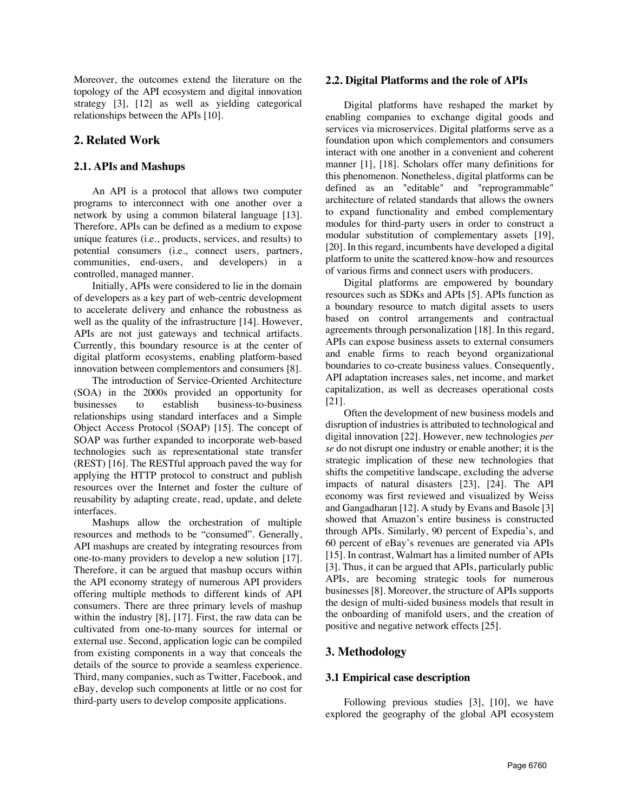Moreover, the outcomes extend the literature on the topology of the API ecosystem and digital innovation strategy [3], [12] as well as yielding categorical relationships between the APIs [10].

## **2. Related Work**

### **2.1. APIs and Mashups**

An API is a protocol that allows two computer programs to interconnect with one another over a network by using a common bilateral language [13]. Therefore, APIs can be defined as a medium to expose unique features (i.e., products, services, and results) to potential consumers (i.e., connect users, partners, communities, end-users, and developers) in a controlled, managed manner.

Initially, APIs were considered to lie in the domain of developers as a key part of web-centric development to accelerate delivery and enhance the robustness as well as the quality of the infrastructure [14]. However, APIs are not just gateways and technical artifacts. Currently, this boundary resource is at the center of digital platform ecosystems, enabling platform-based innovation between complementors and consumers [8].

The introduction of Service-Oriented Architecture (SOA) in the 2000s provided an opportunity for businesses to establish business-to-business relationships using standard interfaces and a Simple Object Access Protocol (SOAP) [15]. The concept of SOAP was further expanded to incorporate web-based technologies such as representational state transfer (REST) [16]. The RESTful approach paved the way for applying the HTTP protocol to construct and publish resources over the Internet and foster the culture of reusability by adapting create, read, update, and delete interfaces.

Mashups allow the orchestration of multiple resources and methods to be "consumed". Generally, API mashups are created by integrating resources from one-to-many providers to develop a new solution [17]. Therefore, it can be argued that mashup occurs within the API economy strategy of numerous API providers offering multiple methods to different kinds of API consumers. There are three primary levels of mashup within the industry [8], [17]. First, the raw data can be cultivated from one-to-many sources for internal or external use. Second, application logic can be compiled from existing components in a way that conceals the details of the source to provide a seamless experience. Third, many companies, such as Twitter, Facebook, and eBay, develop such components at little or no cost for third-party users to develop composite applications.

#### **2.2. Digital Platforms and the role of APIs**

Digital platforms have reshaped the market by enabling companies to exchange digital goods and services via microservices. Digital platforms serve as a foundation upon which complementors and consumers interact with one another in a convenient and coherent manner [1], [18]. Scholars offer many definitions for this phenomenon. Nonetheless, digital platforms can be defined as an "editable" and "reprogrammable" architecture of related standards that allows the owners to expand functionality and embed complementary modules for third-party users in order to construct a modular substitution of complementary assets [19], [20]. In this regard, incumbents have developed a digital platform to unite the scattered know-how and resources of various firms and connect users with producers.

Digital platforms are empowered by boundary resources such as SDKs and APIs [5]. APIs function as a boundary resource to match digital assets to users based on control arrangements and contractual agreements through personalization [18]. In this regard, APIs can expose business assets to external consumers and enable firms to reach beyond organizational boundaries to co-create business values. Consequently, API adaptation increases sales, net income, and market capitalization, as well as decreases operational costs [21].

Often the development of new business models and disruption of industries is attributed to technological and digital innovation [22]. However, new technologies *per se* do not disrupt one industry or enable another; it is the strategic implication of these new technologies that shifts the competitive landscape, excluding the adverse impacts of natural disasters [23], [24]. The API economy was first reviewed and visualized by Weiss and Gangadharan [12]. A study by Evans and Basole [3] showed that Amazon's entire business is constructed through APIs. Similarly, 90 percent of Expedia's, and 60 percent of eBay's revenues are generated via APIs [15]. In contrast, Walmart has a limited number of APIs [3]. Thus, it can be argued that APIs, particularly public APIs, are becoming strategic tools for numerous businesses [8]. Moreover, the structure of APIs supports the design of multi-sided business models that result in the onboarding of manifold users, and the creation of positive and negative network effects [25].

## **3. Methodology**

### **3.1 Empirical case description**

Following previous studies [3], [10], we have explored the geography of the global API ecosystem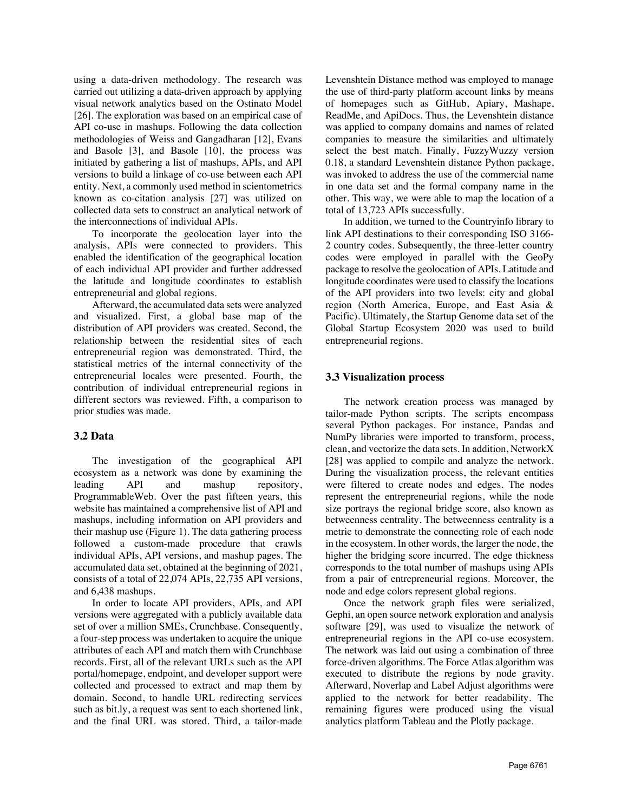using a data-driven methodology. The research was carried out utilizing a data-driven approach by applying visual network analytics based on the Ostinato Model [26]. The exploration was based on an empirical case of API co-use in mashups. Following the data collection methodologies of Weiss and Gangadharan [12], Evans and Basole [3], and Basole [10], the process was initiated by gathering a list of mashups, APIs, and API versions to build a linkage of co-use between each API entity. Next, a commonly used method in scientometrics known as co-citation analysis [27] was utilized on collected data sets to construct an analytical network of the interconnections of individual APIs.

To incorporate the geolocation layer into the analysis, APIs were connected to providers. This enabled the identification of the geographical location of each individual API provider and further addressed the latitude and longitude coordinates to establish entrepreneurial and global regions.

Afterward, the accumulated data sets were analyzed and visualized. First, a global base map of the distribution of API providers was created. Second, the relationship between the residential sites of each entrepreneurial region was demonstrated. Third, the statistical metrics of the internal connectivity of the entrepreneurial locales were presented. Fourth, the contribution of individual entrepreneurial regions in different sectors was reviewed. Fifth, a comparison to prior studies was made.

#### **3.2 Data**

The investigation of the geographical API ecosystem as a network was done by examining the leading API and mashup repository, ProgrammableWeb. Over the past fifteen years, this website has maintained a comprehensive list of API and mashups, including information on API providers and their mashup use (Figure 1). The data gathering process followed a custom-made procedure that crawls individual APIs, API versions, and mashup pages. The accumulated data set, obtained at the beginning of 2021, consists of a total of 22,074 APIs, 22,735 API versions, and 6,438 mashups.

In order to locate API providers, APIs, and API versions were aggregated with a publicly available data set of over a million SMEs, Crunchbase. Consequently, a four-step process was undertaken to acquire the unique attributes of each API and match them with Crunchbase records. First, all of the relevant URLs such as the API portal/homepage, endpoint, and developer support were collected and processed to extract and map them by domain. Second, to handle URL redirecting services such as bit.ly, a request was sent to each shortened link, and the final URL was stored. Third, a tailor-made

Levenshtein Distance method was employed to manage the use of third-party platform account links by means of homepages such as GitHub, Apiary, Mashape, ReadMe, and ApiDocs. Thus, the Levenshtein distance was applied to company domains and names of related companies to measure the similarities and ultimately select the best match. Finally, FuzzyWuzzy version 0.18, a standard Levenshtein distance Python package, was invoked to address the use of the commercial name in one data set and the formal company name in the other. This way, we were able to map the location of a total of 13,723 APIs successfully.

In addition, we turned to the Countryinfo library to link API destinations to their corresponding ISO 3166- 2 country codes. Subsequently, the three-letter country codes were employed in parallel with the GeoPy package to resolve the geolocation of APIs. Latitude and longitude coordinates were used to classify the locations of the API providers into two levels: city and global region (North America, Europe, and East Asia & Pacific). Ultimately, the Startup Genome data set of the Global Startup Ecosystem 2020 was used to build entrepreneurial regions.

#### **3.3 Visualization process**

The network creation process was managed by tailor-made Python scripts. The scripts encompass several Python packages. For instance, Pandas and NumPy libraries were imported to transform, process, clean, and vectorize the data sets. In addition, NetworkX [28] was applied to compile and analyze the network. During the visualization process, the relevant entities were filtered to create nodes and edges. The nodes represent the entrepreneurial regions, while the node size portrays the regional bridge score, also known as betweenness centrality. The betweenness centrality is a metric to demonstrate the connecting role of each node in the ecosystem. In other words, the larger the node, the higher the bridging score incurred. The edge thickness corresponds to the total number of mashups using APIs from a pair of entrepreneurial regions. Moreover, the node and edge colors represent global regions.

Once the network graph files were serialized, Gephi, an open source network exploration and analysis software [29], was used to visualize the network of entrepreneurial regions in the API co-use ecosystem. The network was laid out using a combination of three force-driven algorithms. The Force Atlas algorithm was executed to distribute the regions by node gravity. Afterward, Noverlap and Label Adjust algorithms were applied to the network for better readability. The remaining figures were produced using the visual analytics platform Tableau and the Plotly package.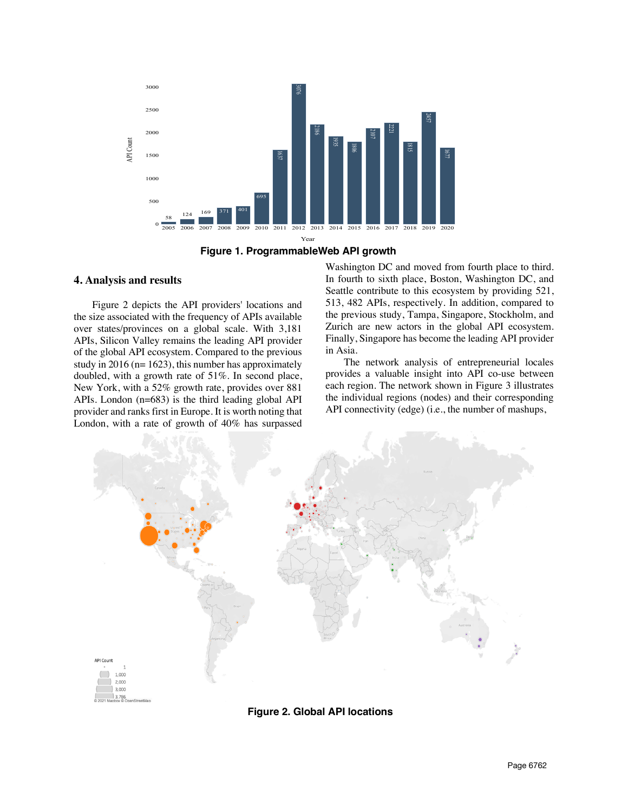



#### **4. Analysis and results**

Figure 2 depicts the API providers' locations and the size associated with the frequency of APIs available over states/provinces on a global scale. With 3,181 APIs, Silicon Valley remains the leading API provider of the global API ecosystem. Compared to the previous study in 2016 ( $n=1623$ ), this number has approximately doubled, with a growth rate of 51%. In second place, New York, with a 52% growth rate, provides over 881 APIs. London (n=683) is the third leading global API provider and ranks first in Europe. It is worth noting that London, with a rate of growth of 40% has surpassed

Washington DC and moved from fourth place to third. In fourth to sixth place, Boston, Washington DC, and Seattle contribute to this ecosystem by providing 521, 513, 482 APIs, respectively. In addition, compared to the previous study, Tampa, Singapore, Stockholm, and Zurich are new actors in the global API ecosystem. Finally, Singapore has become the leading API provider in Asia.

The network analysis of entrepreneurial locales provides a valuable insight into API co-use between each region. The network shown in Figure 3 illustrates the individual regions (nodes) and their corresponding API connectivity (edge) (i.e., the number of mashups,



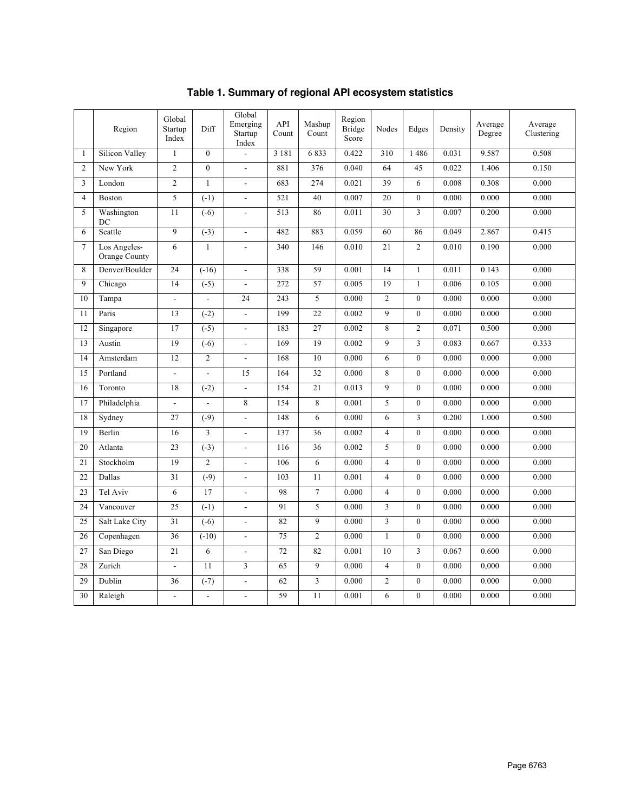|                | Region                        | Global<br>Startup<br>Index | Diff                     | Global<br>Emerging<br>Startup<br>Index | API<br>Count | Mashup<br>Count         | Region<br><b>Bridge</b><br>Score | Nodes          | Edges            | Density | Average<br>Degree | Average<br>Clustering |
|----------------|-------------------------------|----------------------------|--------------------------|----------------------------------------|--------------|-------------------------|----------------------------------|----------------|------------------|---------|-------------------|-----------------------|
| 1              | Silicon Valley                | $\mathbf{1}$               | $\overline{0}$           |                                        | 3 1 8 1      | 6833                    | 0.422                            | 310            | 1486             | 0.031   | 9.587             | 0.508                 |
| $\overline{2}$ | New York                      | $\overline{c}$             | $\overline{0}$           | $\overline{\phantom{a}}$               | 881          | 376                     | 0.040                            | 64             | 45               | 0.022   | 1.406             | 0.150                 |
| 3              | London                        | $\overline{c}$             | $\mathbf{1}$             | $\overline{\phantom{a}}$               | 683          | 274                     | 0.021                            | 39             | 6                | 0.008   | 0.308             | 0.000                 |
| $\overline{4}$ | Boston                        | 5                          | $(-1)$                   | $\overline{a}$                         | 521          | 40                      | 0.007                            | 20             | $\mathbf{0}$     | 0.000   | 0.000             | 0.000                 |
| 5              | Washington<br>DC              | 11                         | $(-6)$                   | $\overline{\phantom{a}}$               | 513          | 86                      | 0.011                            | 30             | $\overline{3}$   | 0.007   | 0.200             | 0.000                 |
| 6              | Seattle                       | 9                          | $(-3)$                   | $\frac{1}{2}$                          | 482          | 883                     | 0.059                            | 60             | 86               | 0.049   | 2.867             | 0.415                 |
| $\tau$         | Los Angeles-<br>Orange County | 6                          | $\mathbf{1}$             | $\overline{a}$                         | 340          | 146                     | 0.010                            | 21             | $\overline{2}$   | 0.010   | 0.190             | 0.000                 |
| 8              | Denver/Boulder                | 24                         | $(-16)$                  | $\overline{a}$                         | 338          | 59                      | 0.001                            | 14             | $\mathbf{1}$     | 0.011   | 0.143             | 0.000                 |
| 9              | Chicago                       | 14                         | $(-5)$                   | $\overline{a}$                         | 272          | 57                      | 0.005                            | 19             | $\mathbf{1}$     | 0.006   | 0.105             | 0.000                 |
| 10             | Tampa                         | $\Box$                     | $\overline{\phantom{a}}$ | 24                                     | 243          | 5                       | 0.000                            | $\overline{c}$ | $\mathbf{0}$     | 0.000   | 0.000             | 0.000                 |
| 11             | Paris                         | 13                         | $(-2)$                   | $\overline{\phantom{a}}$               | 199          | 22                      | 0.002                            | 9              | $\mathbf{0}$     | 0.000   | 0.000             | 0.000                 |
| 12             | Singapore                     | 17                         | $(-5)$                   | ÷,                                     | 183          | 27                      | 0.002                            | 8              | $\overline{c}$   | 0.071   | 0.500             | 0.000                 |
| 13             | Austin                        | 19                         | $(-6)$                   | $\overline{\phantom{a}}$               | 169          | 19                      | 0.002                            | 9              | 3                | 0.083   | 0.667             | 0.333                 |
| 14             | Amsterdam                     | 12                         | $\overline{c}$           | $\sim$                                 | 168          | 10                      | 0.000                            | 6              | $\overline{0}$   | 0.000   | 0.000             | 0.000                 |
| 15             | Portland                      | $\mathbf{r}$               | $\overline{a}$           | 15                                     | 164          | 32                      | 0.000                            | 8              | $\mathbf{0}$     | 0.000   | 0.000             | 0.000                 |
| 16             | Toronto                       | 18                         | $(-2)$                   | $\overline{\phantom{a}}$               | 154          | 21                      | 0.013                            | $\overline{9}$ | $\overline{0}$   | 0.000   | 0.000             | 0.000                 |
| 17             | Philadelphia                  | ÷.                         | ÷.                       | 8                                      | 154          | 8                       | 0.001                            | 5              | $\boldsymbol{0}$ | 0.000   | 0.000             | 0.000                 |
| 18             | Sydney                        | 27                         | $(-9)$                   | $\overline{a}$                         | 148          | 6                       | 0.000                            | 6              | 3                | 0.200   | 1.000             | 0.500                 |
| 19             | Berlin                        | 16                         | 3                        | $\overline{a}$                         | 137          | 36                      | 0.002                            | $\overline{4}$ | $\theta$         | 0.000   | 0.000             | 0.000                 |
| 20             | Atlanta                       | 23                         | $(-3)$                   |                                        | 116          | 36                      | 0.002                            | 5              | $\theta$         | 0.000   | 0.000             | 0.000                 |
| 21             | Stockholm                     | 19                         | $\overline{c}$           | ÷.                                     | 106          | 6                       | 0.000                            | $\overline{4}$ | $\theta$         | 0.000   | 0.000             | 0.000                 |
| 22             | Dallas                        | 31                         | $(-9)$                   | $\overline{a}$                         | 103          | 11                      | 0.001                            | $\overline{4}$ | $\theta$         | 0.000   | 0.000             | 0.000                 |
| 23             | Tel Aviv                      | 6                          | 17                       | $\overline{a}$                         | 98           | $\overline{7}$          | 0.000                            | $\overline{4}$ | $\theta$         | 0.000   | 0.000             | 0.000                 |
| 24             | Vancouver                     | 25                         | $(-1)$                   | $\overline{a}$                         | 91           | 5                       | 0.000                            | 3              | $\theta$         | 0.000   | 0.000             | 0.000                 |
| 25             | Salt Lake City                | 31                         | $(-6)$                   | ÷,                                     | 82           | 9                       | 0.000                            | 3              | $\mathbf{0}$     | 0.000   | 0.000             | 0.000                 |
| 26             | Copenhagen                    | 36                         | $(-10)$                  | $\overline{\phantom{a}}$               | 75           | $\overline{c}$          | 0.000                            | $\mathbf{1}$   | $\mathbf{0}$     | 0.000   | 0.000             | 0.000                 |
| 27             | San Diego                     | 21                         | 6                        | $\overline{\phantom{a}}$               | 72           | 82                      | 0.001                            | 10             | 3                | 0.067   | 0.600             | 0.000                 |
| 28             | Zurich                        | $\overline{\phantom{a}}$   | 11                       | 3                                      | 65           | 9                       | 0.000                            | $\overline{4}$ | $\mathbf{0}$     | 0.000   | 0,000             | 0.000                 |
| 29             | Dublin                        | 36                         | $(-7)$                   | $\overline{\phantom{a}}$               | 62           | $\overline{\mathbf{3}}$ | 0.000                            | $\overline{c}$ | $\mathbf{0}$     | 0.000   | 0.000             | 0.000                 |
| 30             | Raleigh                       | $\overline{a}$             |                          |                                        | 59           | 11                      | 0.001                            | 6              | $\mathbf{0}$     | 0.000   | 0.000             | 0.000                 |

**Table 1. Summary of regional API ecosystem statistics**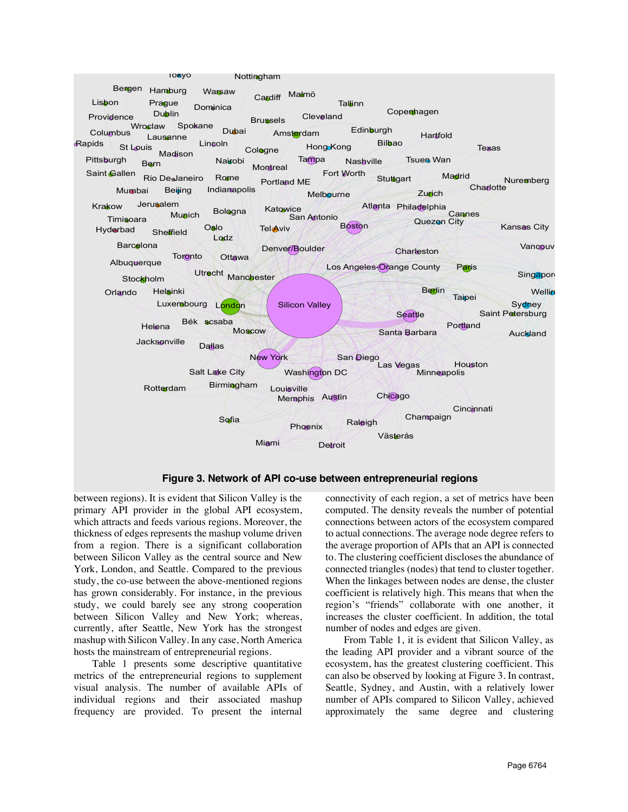

between regions). It is evident that Silicon Valley is the primary API provider in the global API ecosystem, which attracts and feeds various regions. Moreover, the thickness of edges represents the mashup volume driven from a region. There is a significant collaboration between Silicon Valley as the central source and New York, London, and Seattle. Compared to the previous study, the co-use between the above-mentioned regions has grown considerably. For instance, in the previous study, we could barely see any strong cooperation between Silicon Valley and New York; whereas, currently, after Seattle, New York has the strongest mashup with Silicon Valley. In any case, North America hosts the mainstream of entrepreneurial regions.

Table 1 presents some descriptive quantitative metrics of the entrepreneurial regions to supplement visual analysis. The number of available APIs of individual regions and their associated mashup frequency are provided. To present the internal

connectivity of each region, a set of metrics have been computed. The density reveals the number of potential connections between actors of the ecosystem compared to actual connections. The average node degree refers to the average proportion of APIs that an API is connected to. The clustering coefficient discloses the abundance of connected triangles (nodes) that tend to cluster together. When the linkages between nodes are dense, the cluster coefficient is relatively high. This means that when the region's "friends" collaborate with one another, it increases the cluster coefficient. In addition, the total number of nodes and edges are given.

From Table 1, it is evident that Silicon Valley, as the leading API provider and a vibrant source of the ecosystem, has the greatest clustering coefficient. This can also be observed by looking at Figure 3. In contrast, Seattle, Sydney, and Austin, with a relatively lower number of APIs compared to Silicon Valley, achieved approximately the same degree and clustering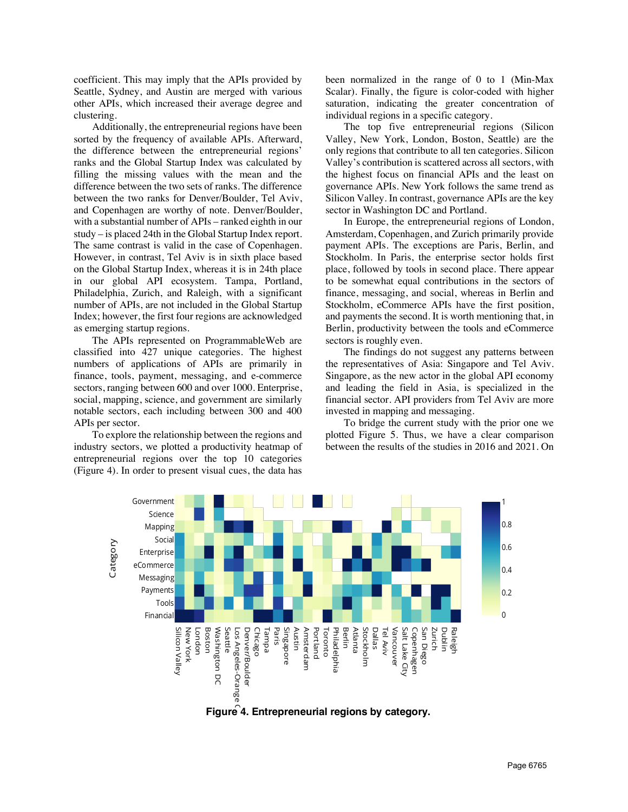coefficient. This may imply that the APIs provided by Seattle, Sydney, and Austin are merged with various other APIs, which increased their average degree and clustering.

Additionally, the entrepreneurial regions have been sorted by the frequency of available APIs. Afterward, the difference between the entrepreneurial regions' ranks and the Global Startup Index was calculated by filling the missing values with the mean and the difference between the two sets of ranks. The difference between the two ranks for Denver/Boulder, Tel Aviv, and Copenhagen are worthy of note. Denver/Boulder, with a substantial number of APIs – ranked eighth in our study – is placed 24th in the Global Startup Index report. The same contrast is valid in the case of Copenhagen. However, in contrast, Tel Aviv is in sixth place based on the Global Startup Index, whereas it is in 24th place in our global API ecosystem. Tampa, Portland, Philadelphia, Zurich, and Raleigh, with a significant number of APIs, are not included in the Global Startup Index; however, the first four regions are acknowledged as emerging startup regions.

The APIs represented on ProgrammableWeb are classified into 427 unique categories. The highest numbers of applications of APIs are primarily in finance, tools, payment, messaging, and e-commerce sectors, ranging between 600 and over 1000. Enterprise, social, mapping, science, and government are similarly notable sectors, each including between 300 and 400 APIs per sector.

To explore the relationship between the regions and industry sectors, we plotted a productivity heatmap of entrepreneurial regions over the top 10 categories (Figure 4). In order to present visual cues, the data has

been normalized in the range of 0 to 1 (Min-Max Scalar). Finally, the figure is color-coded with higher saturation, indicating the greater concentration of individual regions in a specific category.

The top five entrepreneurial regions (Silicon Valley, New York, London, Boston, Seattle) are the only regions that contribute to all ten categories. Silicon Valley's contribution is scattered across all sectors, with the highest focus on financial APIs and the least on governance APIs. New York follows the same trend as Silicon Valley. In contrast, governance APIs are the key sector in Washington DC and Portland.

In Europe, the entrepreneurial regions of London, Amsterdam, Copenhagen, and Zurich primarily provide payment APIs. The exceptions are Paris, Berlin, and Stockholm. In Paris, the enterprise sector holds first place, followed by tools in second place. There appear to be somewhat equal contributions in the sectors of finance, messaging, and social, whereas in Berlin and Stockholm, eCommerce APIs have the first position, and payments the second. It is worth mentioning that, in Berlin, productivity between the tools and eCommerce sectors is roughly even.

The findings do not suggest any patterns between the representatives of Asia: Singapore and Tel Aviv. Singapore, as the new actor in the global API economy and leading the field in Asia, is specialized in the financial sector. API providers from Tel Aviv are more invested in mapping and messaging.

To bridge the current study with the prior one we plotted Figure 5. Thus, we have a clear comparison between the results of the studies in 2016 and 2021. On



**Figure 4. Entrepreneurial regions by category.**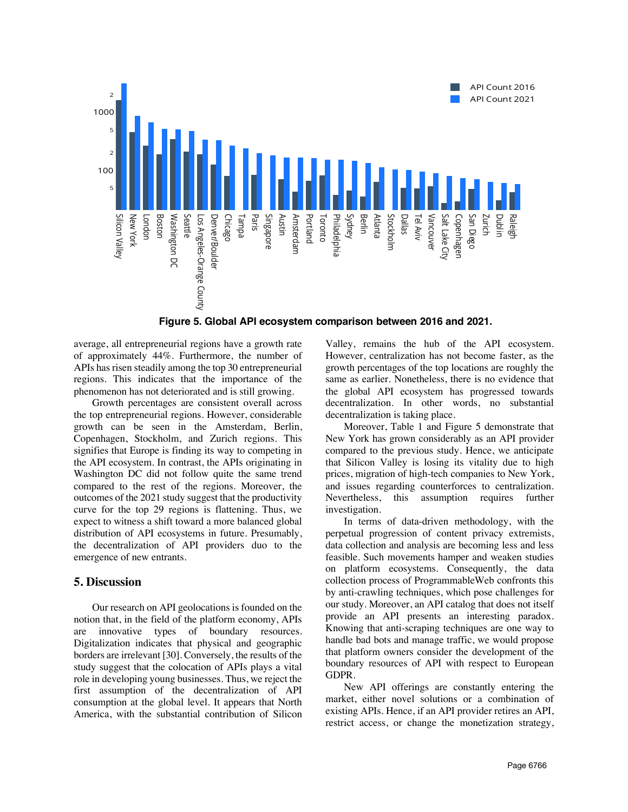

**Figure 5. Global API ecosystem comparison between 2016 and 2021.**

average, all entrepreneurial regions have a growth rate of approximately 44%. Furthermore, the number of APIs has risen steadily among the top 30 entrepreneurial regions. This indicates that the importance of the phenomenon has not deteriorated and is still growing.

Growth percentages are consistent overall across the top entrepreneurial regions. However, considerable growth can be seen in the Amsterdam, Berlin, Copenhagen, Stockholm, and Zurich regions. This signifies that Europe is finding its way to competing in the API ecosystem. In contrast, the APIs originating in Washington DC did not follow quite the same trend compared to the rest of the regions. Moreover, the outcomes of the 2021 study suggest that the productivity curve for the top 29 regions is flattening. Thus, we expect to witness a shift toward a more balanced global distribution of API ecosystems in future. Presumably, the decentralization of API providers duo to the emergence of new entrants.

### **5. Discussion**

Our research on API geolocations is founded on the notion that, in the field of the platform economy, APIs are innovative types of boundary resources. Digitalization indicates that physical and geographic borders are irrelevant [30]. Conversely, the results of the study suggest that the colocation of APIs plays a vital role in developing young businesses. Thus, we reject the first assumption of the decentralization of API consumption at the global level. It appears that North America, with the substantial contribution of Silicon

Valley, remains the hub of the API ecosystem. However, centralization has not become faster, as the growth percentages of the top locations are roughly the same as earlier. Nonetheless, there is no evidence that the global API ecosystem has progressed towards decentralization. In other words, no substantial decentralization is taking place.

Moreover, Table 1 and Figure 5 demonstrate that New York has grown considerably as an API provider compared to the previous study. Hence, we anticipate that Silicon Valley is losing its vitality due to high prices, migration of high-tech companies to New York, and issues regarding counterforces to centralization. Nevertheless, this assumption requires further investigation.

In terms of data-driven methodology, with the perpetual progression of content privacy extremists, data collection and analysis are becoming less and less feasible. Such movements hamper and weaken studies on platform ecosystems. Consequently, the data collection process of ProgrammableWeb confronts this by anti-crawling techniques, which pose challenges for our study. Moreover, an API catalog that does not itself provide an API presents an interesting paradox. Knowing that anti-scraping techniques are one way to handle bad bots and manage traffic, we would propose that platform owners consider the development of the boundary resources of API with respect to European GDPR.

New API offerings are constantly entering the market, either novel solutions or a combination of existing APIs. Hence, if an API provider retires an API, restrict access, or change the monetization strategy,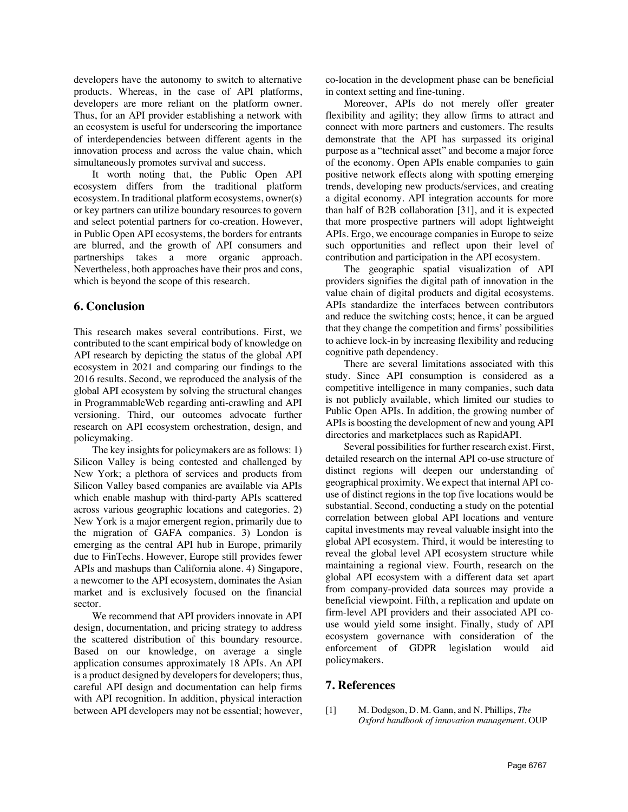developers have the autonomy to switch to alternative products. Whereas, in the case of API platforms, developers are more reliant on the platform owner. Thus, for an API provider establishing a network with an ecosystem is useful for underscoring the importance of interdependencies between different agents in the innovation process and across the value chain, which simultaneously promotes survival and success.

It worth noting that, the Public Open API ecosystem differs from the traditional platform ecosystem. In traditional platform ecosystems, owner(s) or key partners can utilize boundary resources to govern and select potential partners for co-creation. However, in Public Open API ecosystems, the borders for entrants are blurred, and the growth of API consumers and partnerships takes a more organic approach. Nevertheless, both approaches have their pros and cons, which is beyond the scope of this research.

### **6. Conclusion**

This research makes several contributions. First, we contributed to the scant empirical body of knowledge on API research by depicting the status of the global API ecosystem in 2021 and comparing our findings to the 2016 results. Second, we reproduced the analysis of the global API ecosystem by solving the structural changes in ProgrammableWeb regarding anti-crawling and API versioning. Third, our outcomes advocate further research on API ecosystem orchestration, design, and policymaking.

The key insights for policymakers are as follows: 1) Silicon Valley is being contested and challenged by New York; a plethora of services and products from Silicon Valley based companies are available via APIs which enable mashup with third-party APIs scattered across various geographic locations and categories. 2) New York is a major emergent region, primarily due to the migration of GAFA companies. 3) London is emerging as the central API hub in Europe, primarily due to FinTechs. However, Europe still provides fewer APIs and mashups than California alone. 4) Singapore, a newcomer to the API ecosystem, dominates the Asian market and is exclusively focused on the financial sector.

We recommend that API providers innovate in API design, documentation, and pricing strategy to address the scattered distribution of this boundary resource. Based on our knowledge, on average a single application consumes approximately 18 APIs. An API is a product designed by developers for developers; thus, careful API design and documentation can help firms with API recognition. In addition, physical interaction between API developers may not be essential; however,

co-location in the development phase can be beneficial in context setting and fine-tuning.

Moreover, APIs do not merely offer greater flexibility and agility; they allow firms to attract and connect with more partners and customers. The results demonstrate that the API has surpassed its original purpose as a "technical asset" and become a major force of the economy. Open APIs enable companies to gain positive network effects along with spotting emerging trends, developing new products/services, and creating a digital economy. API integration accounts for more than half of B2B collaboration [31], and it is expected that more prospective partners will adopt lightweight APIs. Ergo, we encourage companies in Europe to seize such opportunities and reflect upon their level of contribution and participation in the API ecosystem.

The geographic spatial visualization of API providers signifies the digital path of innovation in the value chain of digital products and digital ecosystems. APIs standardize the interfaces between contributors and reduce the switching costs; hence, it can be argued that they change the competition and firms' possibilities to achieve lock-in by increasing flexibility and reducing cognitive path dependency.

There are several limitations associated with this study. Since API consumption is considered as a competitive intelligence in many companies, such data is not publicly available, which limited our studies to Public Open APIs. In addition, the growing number of APIs is boosting the development of new and young API directories and marketplaces such as RapidAPI.

Several possibilities for further research exist. First, detailed research on the internal API co-use structure of distinct regions will deepen our understanding of geographical proximity. We expect that internal API couse of distinct regions in the top five locations would be substantial. Second, conducting a study on the potential correlation between global API locations and venture capital investments may reveal valuable insight into the global API ecosystem. Third, it would be interesting to reveal the global level API ecosystem structure while maintaining a regional view. Fourth, research on the global API ecosystem with a different data set apart from company-provided data sources may provide a beneficial viewpoint. Fifth, a replication and update on firm-level API providers and their associated API couse would yield some insight. Finally, study of API ecosystem governance with consideration of the enforcement of GDPR legislation would aid policymakers.

## **7. References**

[1] M. Dodgson, D. M. Gann, and N. Phillips, *The Oxford handbook of innovation management*. OUP